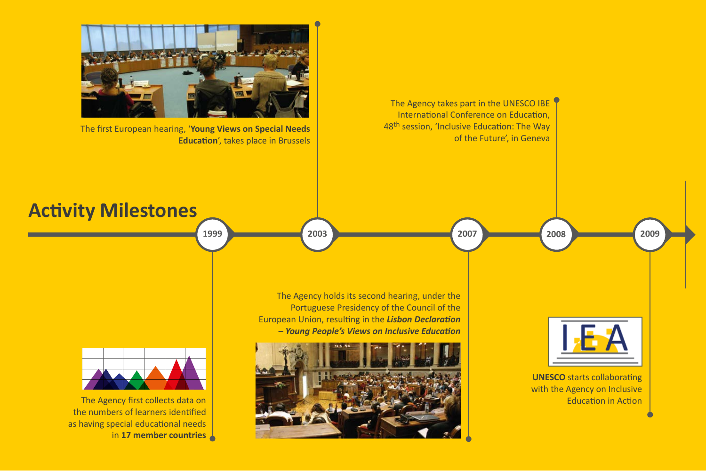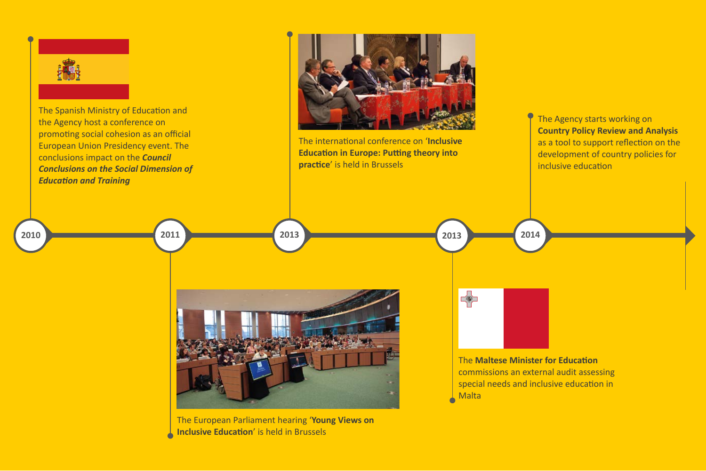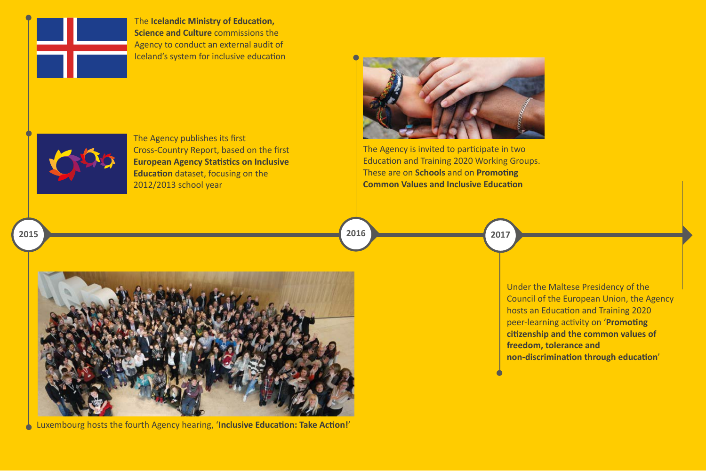

The **Icelandic Ministry of Education, Science and Culture** commissions the Agency to conduct an external audit of Iceland's system for inclusive education



The Agency publishes its first Cross-Country Report, based on the first **European Agency Statistics on Inclusive Education** dataset, focusing on the 2012/2013 school year



The Agency is invited to participate in two Education and Training 2020 Working Groups. These are on **Schools** and on **Promoting Common Values and Inclusive Education**

**2017** 

**2016** 



Luxembourg hosts the fourth Agency hearing, '**Inclusive Education: Take Action!**'

Under the Maltese Presidency of the Council of the European Union, the Agency hosts an Education and Training 2020 peer-learning activity on '**Promoting citizenship and the common values of freedom, tolerance and non-discrimination through education**'

**2015**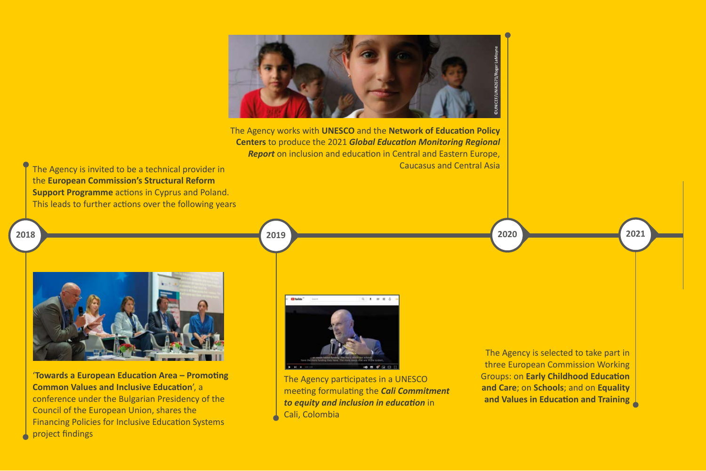

The Agency works with **UNESCO** and the **Network of Education Policy Centers** to produce the 2021 *Global Education Monitoring Regional Report* on inclusion and education in Central and Eastern Europe, Caucasus and Central Asia

The Agency is invited to be a technical provider in the **European Commission's Structural Reform Support Programme** actions in Cyprus and Poland. This leads to further actions over the following years

**2018** 



'**Towards a European Education Area – Promoting Common Values and Inclusive Education**', a conference under the Bulgarian Presidency of the Council of the European Union, shares the Financing Policies for Inclusive Education Systems project findings

**2019** 



The Agency participates in a UNESCO meeting formulating the *Cali Commitment to equity and inclusion in education* in Cali, Colombia

The Agency is selected to take part in three European Commission Working Groups: on **Early Childhood Education and Care**; on **Schools**; and on **Equality and Values in Education and Training**

**2021** 

**2020**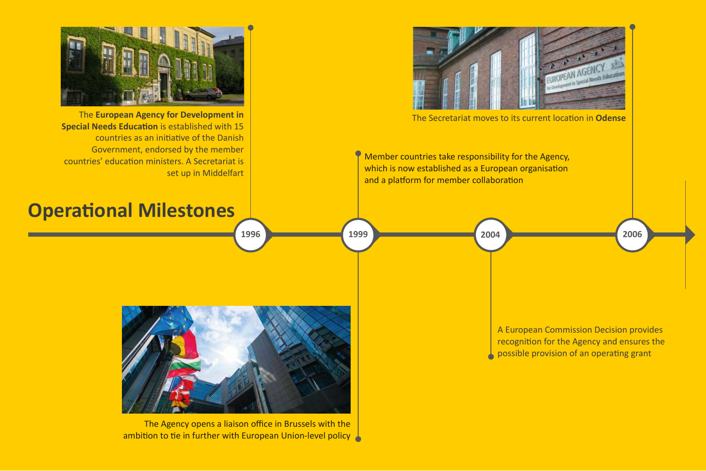

The Agency opens a liaison office in Brussels with the ambition to tie in further with European Union-level policy